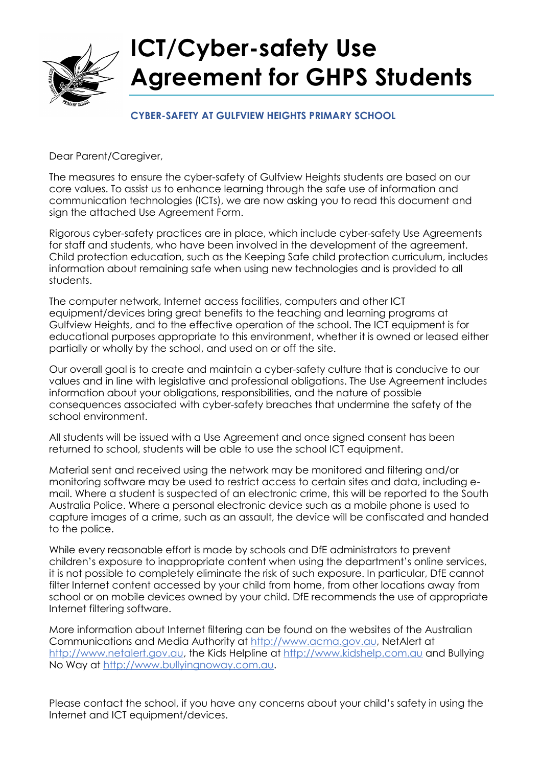

#### **CYBER-SAFETY AT GULFVIEW HEIGHTS PRIMARY SCHOOL**

Dear Parent/Caregiver,

The measures to ensure the cyber-safety of Gulfview Heights students are based on our core values. To assist us to enhance learning through the safe use of information and communication technologies (ICTs), we are now asking you to read this document and sign the attached Use Agreement Form.

Rigorous cyber-safety practices are in place, which include cyber-safety Use Agreements for staff and students, who have been involved in the development of the agreement. Child protection education, such as the Keeping Safe child protection curriculum, includes information about remaining safe when using new technologies and is provided to all students.

The computer network, Internet access facilities, computers and other ICT equipment/devices bring great benefits to the teaching and learning programs at Gulfview Heights, and to the effective operation of the school. The ICT equipment is for educational purposes appropriate to this environment, whether it is owned or leased either partially or wholly by the school, and used on or off the site.

Our overall goal is to create and maintain a cyber-safety culture that is conducive to our values and in line with legislative and professional obligations. The Use Agreement includes information about your obligations, responsibilities, and the nature of possible consequences associated with cyber-safety breaches that undermine the safety of the school environment.

All students will be issued with a Use Agreement and once signed consent has been returned to school, students will be able to use the school ICT equipment.

Material sent and received using the network may be monitored and filtering and/or monitoring software may be used to restrict access to certain sites and data, including email. Where a student is suspected of an electronic crime, this will be reported to the South Australia Police. Where a personal electronic device such as a mobile phone is used to capture images of a crime, such as an assault, the device will be confiscated and handed to the police.

While every reasonable effort is made by schools and DfE administrators to prevent children's exposure to inappropriate content when using the department's online services, it is not possible to completely eliminate the risk of such exposure. In particular, DfE cannot filter Internet content accessed by your child from home, from other locations away from school or on mobile devices owned by your child. DfE recommends the use of appropriate Internet filtering software.

More information about Internet filtering can be found on the websites of the Australian Communications and Media Authority at http://www.acma.gov.au, NetAlert at http://www.netalert.gov.au, the Kids Helpline at http://www.kidshelp.com.au and Bullying No Way at http://www.bullyingnoway.com.au.

Please contact the school, if you have any concerns about your child's safety in using the Internet and ICT equipment/devices.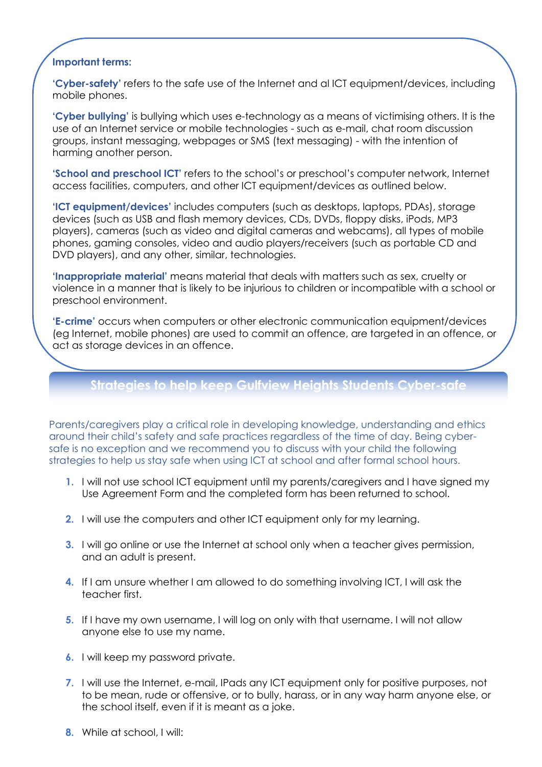#### **Important terms:**

**'Cyber-safety'** refers to the safe use of the Internet and al ICT equipment/devices, including mobile phones.

**'Cyber bullying'** is bullying which uses e-technology as a means of victimising others. It is the use of an Internet service or mobile technologies - such as e-mail, chat room discussion groups, instant messaging, webpages or SMS (text messaging) - with the intention of harming another person.

**'School and preschool ICT'** refers to the school's or preschool's computer network, Internet access facilities, computers, and other ICT equipment/devices as outlined below.

**'ICT equipment/devices'** includes computers (such as desktops, laptops, PDAs), storage devices (such as USB and flash memory devices, CDs, DVDs, floppy disks, iPods, MP3 players), cameras (such as video and digital cameras and webcams), all types of mobile phones, gaming consoles, video and audio players/receivers (such as portable CD and DVD players), and any other, similar, technologies.

**'Inappropriate material'** means material that deals with matters such as sex, cruelty or violence in a manner that is likely to be injurious to children or incompatible with a school or preschool environment.

**'E-crime'** occurs when computers or other electronic communication equipment/devices (eg Internet, mobile phones) are used to commit an offence, are targeted in an offence, or act as storage devices in an offence.

## **Strategies to help keep Gulfview Heights Students Cyber-safe**

Parents/caregivers play a critical role in developing knowledge, understanding and ethics around their child's safety and safe practices regardless of the time of day. Being cybersafe is no exception and we recommend you to discuss with your child the following strategies to help us stay safe when using ICT at school and after formal school hours.

- **1.** I will not use school ICT equipment until my parents/caregivers and I have signed my Use Agreement Form and the completed form has been returned to school.
- **2.** I will use the computers and other ICT equipment only for my learning.
- **3.** I will go online or use the Internet at school only when a teacher gives permission, and an adult is present.
- **4.** If I am unsure whether I am allowed to do something involving ICT, I will ask the teacher first.
- **5.** If I have my own username, I will log on only with that username. I will not allow anyone else to use my name.
- **6.** I will keep my password private.
- **7.** I will use the Internet, e-mail, IPads any ICT equipment only for positive purposes, not to be mean, rude or offensive, or to bully, harass, or in any way harm anyone else, or the school itself, even if it is meant as a joke.
- **8.** While at school, I will: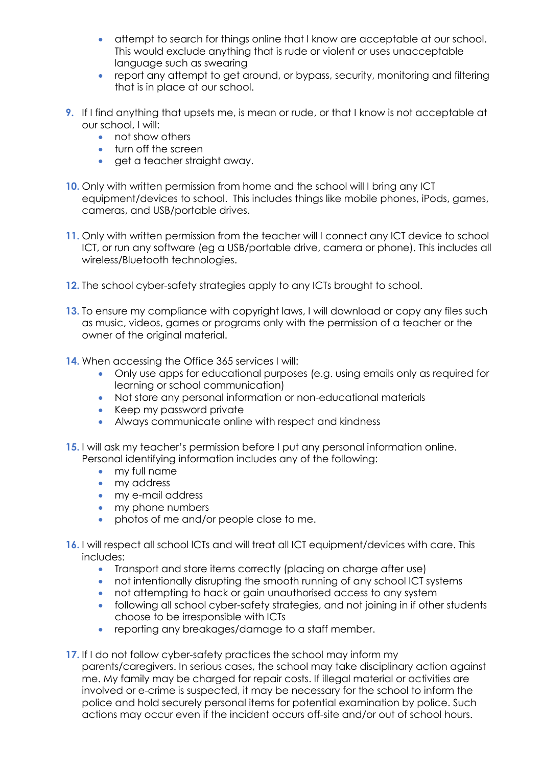- attempt to search for things online that I know are acceptable at our school. This would exclude anything that is rude or violent or uses unacceptable language such as swearing
- report any attempt to get around, or bypass, security, monitoring and filtering that is in place at our school.
- **9.** If I find anything that upsets me, is mean or rude, or that I know is not acceptable at our school, I will:
	- not show others
	- **turn off the screen**
	- get a teacher straight away.
- **10.** Only with written permission from home and the school will I bring any ICT equipment/devices to school. This includes things like mobile phones, iPods, games, cameras, and USB/portable drives.
- **11.** Only with written permission from the teacher will I connect any ICT device to school ICT, or run any software (eg a USB/portable drive, camera or phone). This includes all wireless/Bluetooth technologies.
- **12.** The school cyber-safety strategies apply to any ICTs brought to school.
- **13.** To ensure my compliance with copyright laws, I will download or copy any files such as music, videos, games or programs only with the permission of a teacher or the owner of the original material.
- **14.** When accessing the Office 365 services I will:
	- Only use apps for educational purposes (e.g. using emails only as required for learning or school communication)
	- Not store any personal information or non-educational materials
	- Keep my password private
	- Always communicate online with respect and kindness
- **15.** I will ask my teacher's permission before I put any personal information online. Personal identifying information includes any of the following:
	- my full name
	- my address
	- my e-mail address
	- my phone numbers
	- photos of me and/or people close to me.
- **16.** I will respect all school lCTs and will treat all ICT equipment/devices with care. This includes:
	- Transport and store items correctly (placing on charge after use)
	- not intentionally disrupting the smooth running of any school ICT systems
	- not attempting to hack or gain unauthorised access to any system
	- following all school cyber-safety strategies, and not joining in if other students choose to be irresponsible with ICTs
	- reporting any breakages/damage to a staff member.
- **17.** If I do not follow cyber-safety practices the school may inform my parents/caregivers. In serious cases, the school may take disciplinary action against me. My family may be charged for repair costs. If illegal material or activities are involved or e-crime is suspected, it may be necessary for the school to inform the police and hold securely personal items for potential examination by police. Such actions may occur even if the incident occurs off-site and/or out of school hours.